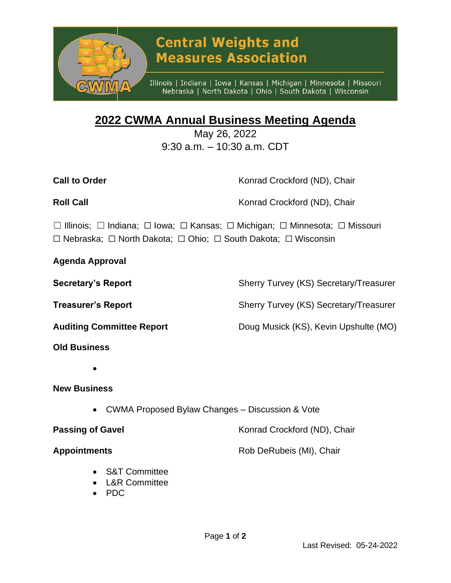

# **Central Weights and Measures Association**

Illinois | Indiana | Iowa | Kansas | Michigan | Minnesota | Missouri Nebraska | North Dakota | Ohio | South Dakota | Wisconsin

## **2022 CWMA Annual Business Meeting Agenda**

May 26, 2022 9:30 a.m. – 10:30 a.m. CDT

| <b>Call to Order</b>                                                                                                                                                     | Konrad Crockford (ND), Chair |
|--------------------------------------------------------------------------------------------------------------------------------------------------------------------------|------------------------------|
| <b>Roll Call</b>                                                                                                                                                         | Konrad Crockford (ND), Chair |
| □ Illinois; □ Indiana; □ Iowa; □ Kansas; □ Michigan; □ Minnesota; □ Missouri<br>$\Box$ Nebraska; $\Box$ North Dakota; $\Box$ Ohio; $\Box$ South Dakota; $\Box$ Wisconsin |                              |

**Agenda Approval**

**Secretary's Report** Sherry Turvey (KS) Secretary/Treasurer

**Treasurer's Report** Sherry Turvey (KS) Secretary/Treasurer

**Auditing Committee Report** Doug Musick (KS), Kevin Upshulte (MO)

- **Old Business**
	- •

### **New Business**

• CWMA Proposed Bylaw Changes – Discussion & Vote

**Passing of Gavel Example 20 Accord Following Crockford (ND), Chair** 

**Appointments** Rob DeRubeis (MI), Chair

- S&T Committee
- L&R Committee
- PDC